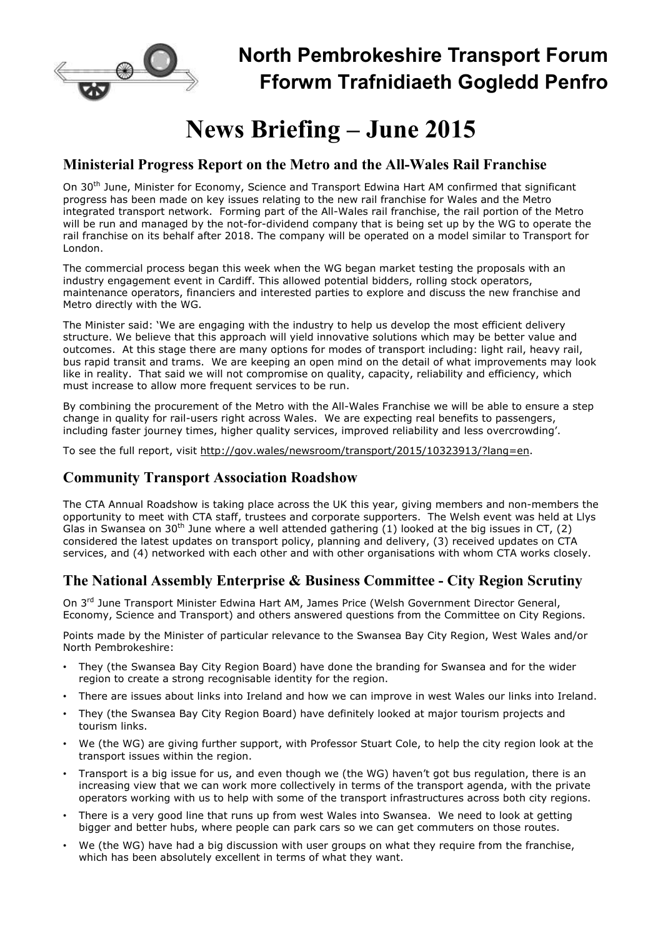

# **North Pembrokeshire Transport Forum Fforwm Trafnidiaeth Gogledd Penfro**

# **News Briefing – June 2015**

## **Ministerial Progress Report on the Metro and the All-Wales Rail Franchise**

On 30th June, Minister for Economy, Science and Transport Edwina Hart AM confirmed that significant progress has been made on key issues relating to the new rail franchise for Wales and the Metro integrated transport network. Forming part of the All-Wales rail franchise, the rail portion of the Metro will be run and managed by the not-for-dividend company that is being set up by the WG to operate the rail franchise on its behalf after 2018. The company will be operated on a model similar to Transport for London.

The commercial process began this week when the WG began market testing the proposals with an industry engagement event in Cardiff. This allowed potential bidders, rolling stock operators, maintenance operators, financiers and interested parties to explore and discuss the new franchise and Metro directly with the WG.

The Minister said: 'We are engaging with the industry to help us develop the most efficient delivery structure. We believe that this approach will yield innovative solutions which may be better value and outcomes. At this stage there are many options for modes of transport including: light rail, heavy rail, bus rapid transit and trams. We are keeping an open mind on the detail of what improvements may look like in reality. That said we will not compromise on quality, capacity, reliability and efficiency, which must increase to allow more frequent services to be run.

By combining the procurement of the Metro with the All-Wales Franchise we will be able to ensure a step change in quality for rail-users right across Wales. We are expecting real benefits to passengers, including faster journey times, higher quality services, improved reliability and less overcrowding'.

To see the full report, visit http://gov.wales/newsroom/transport/2015/10323913/?lang=en.

# **Community Transport Association Roadshow**

The CTA Annual Roadshow is taking place across the UK this year, giving members and non-members the opportunity to meet with CTA staff, trustees and corporate supporters. The Welsh event was held at Llys Glas in Swansea on 30<sup>th</sup> June where a well attended gathering (1) looked at the big issues in CT, (2) considered the latest updates on transport policy, planning and delivery, (3) received updates on CTA services, and (4) networked with each other and with other organisations with whom CTA works closely.

# **The National Assembly Enterprise & Business Committee - City Region Scrutiny**

On 3rd June Transport Minister Edwina Hart AM, James Price (Welsh Government Director General, Economy, Science and Transport) and others answered questions from the Committee on City Regions.

Points made by the Minister of particular relevance to the Swansea Bay City Region, West Wales and/or North Pembrokeshire:

- They (the Swansea Bay City Region Board) have done the branding for Swansea and for the wider region to create a strong recognisable identity for the region.
- There are issues about links into Ireland and how we can improve in west Wales our links into Ireland.
- They (the Swansea Bay City Region Board) have definitely looked at major tourism projects and tourism links.
- We (the WG) are giving further support, with Professor Stuart Cole, to help the city region look at the transport issues within the region.
- Transport is a big issue for us, and even though we (the WG) haven't got bus regulation, there is an increasing view that we can work more collectively in terms of the transport agenda, with the private operators working with us to help with some of the transport infrastructures across both city regions.
- There is a very good line that runs up from west Wales into Swansea. We need to look at getting bigger and better hubs, where people can park cars so we can get commuters on those routes.
- We (the WG) have had a big discussion with user groups on what they require from the franchise, which has been absolutely excellent in terms of what they want.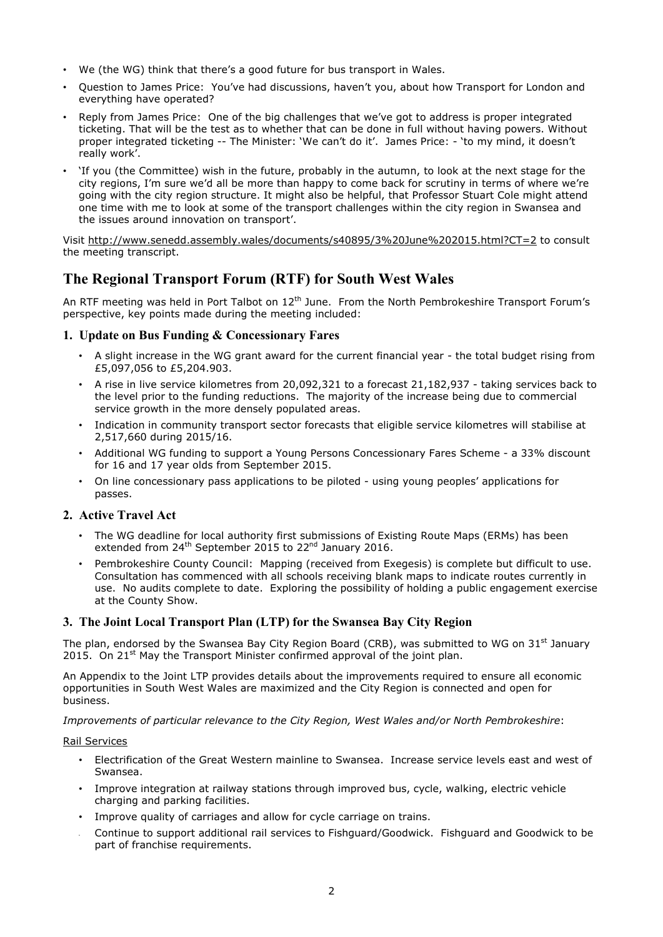- We (the WG) think that there's a good future for bus transport in Wales.
- Question to James Price: You've had discussions, haven't you, about how Transport for London and everything have operated?
- Reply from James Price: One of the big challenges that we've got to address is proper integrated ticketing. That will be the test as to whether that can be done in full without having powers. Without proper integrated ticketing -- The Minister: 'We can't do it'. James Price: - 'to my mind, it doesn't really work'.
- 'If you (the Committee) wish in the future, probably in the autumn, to look at the next stage for the city regions, I'm sure we'd all be more than happy to come back for scrutiny in terms of where we're going with the city region structure. It might also be helpful, that Professor Stuart Cole might attend one time with me to look at some of the transport challenges within the city region in Swansea and the issues around innovation on transport'.

Visit http://www.senedd.assembly.wales/documents/s40895/3%20June%202015.html?CT=2 to consult the meeting transcript.

## **The Regional Transport Forum (RTF) for South West Wales**

An RTF meeting was held in Port Talbot on  $12<sup>th</sup>$  June. From the North Pembrokeshire Transport Forum's perspective, key points made during the meeting included:

## **1. Update on Bus Funding & Concessionary Fares**

- A slight increase in the WG grant award for the current financial year the total budget rising from £5,097,056 to £5,204.903.
- A rise in live service kilometres from 20,092,321 to a forecast 21,182,937 taking services back to the level prior to the funding reductions. The majority of the increase being due to commercial service growth in the more densely populated areas.
- Indication in community transport sector forecasts that eligible service kilometres will stabilise at 2,517,660 during 2015/16.
- Additional WG funding to support a Young Persons Concessionary Fares Scheme a 33% discount for 16 and 17 year olds from September 2015.
- On line concessionary pass applications to be piloted using young peoples' applications for passes.

### **2. Active Travel Act**

- The WG deadline for local authority first submissions of Existing Route Maps (ERMs) has been extended from  $24^{th}$  September 2015 to  $22^{nd}$  January 2016.
- Pembrokeshire County Council: Mapping (received from Exegesis) is complete but difficult to use. Consultation has commenced with all schools receiving blank maps to indicate routes currently in use. No audits complete to date. Exploring the possibility of holding a public engagement exercise at the County Show.

## **3. The Joint Local Transport Plan (LTP) for the Swansea Bay City Region**

The plan, endorsed by the Swansea Bay City Region Board (CRB), was submitted to WG on  $31<sup>st</sup>$  January 2015. On 21<sup>st</sup> May the Transport Minister confirmed approval of the joint plan.

An Appendix to the Joint LTP provides details about the improvements required to ensure all economic opportunities in South West Wales are maximized and the City Region is connected and open for business.

*Improvements of particular relevance to the City Region, West Wales and/or North Pembrokeshire*:

#### Rail Services

- Electrification of the Great Western mainline to Swansea. Increase service levels east and west of Swansea.
- Improve integration at railway stations through improved bus, cycle, walking, electric vehicle charging and parking facilities.
- Improve quality of carriages and allow for cycle carriage on trains.
- Continue to support additional rail services to Fishguard/Goodwick. Fishguard and Goodwick to be part of franchise requirements.